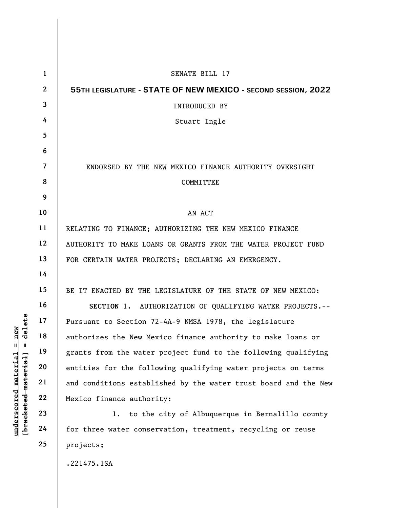|                      | $\mathbf{1}$                                       | SENATE BILL 17                                                  |
|----------------------|----------------------------------------------------|-----------------------------------------------------------------|
|                      | $\mathbf{2}$                                       | 55TH LEGISLATURE - STATE OF NEW MEXICO - SECOND SESSION, 2022   |
|                      | $\overline{3}$                                     | INTRODUCED BY                                                   |
|                      | 4                                                  | Stuart Ingle                                                    |
|                      | 5                                                  |                                                                 |
|                      | 6                                                  |                                                                 |
|                      | $\overline{7}$                                     | ENDORSED BY THE NEW MEXICO FINANCE AUTHORITY OVERSIGHT          |
|                      | 8                                                  | <b>COMMITTEE</b>                                                |
|                      | 9                                                  |                                                                 |
|                      | 10                                                 | AN ACT                                                          |
|                      | 11                                                 | RELATING TO FINANCE; AUTHORIZING THE NEW MEXICO FINANCE         |
|                      | 12                                                 | AUTHORITY TO MAKE LOANS OR GRANTS FROM THE WATER PROJECT FUND   |
|                      | 13                                                 | FOR CERTAIN WATER PROJECTS; DECLARING AN EMERGENCY.             |
|                      | 14                                                 |                                                                 |
|                      | 15                                                 | BE IT ENACTED BY THE LEGISLATURE OF THE STATE OF NEW MEXICO:    |
|                      | 16                                                 | SECTION 1. AUTHORIZATION OF QUALIFYING WATER PROJECTS.--        |
| delete               | 17                                                 | Pursuant to Section 72-4A-9 NMSA 1978, the legislature          |
| new                  | 18                                                 | authorizes the New Mexico finance authority to make loans or    |
| Ш<br>H.              | 19                                                 | grants from the water project fund to the following qualifying  |
|                      | 20                                                 | entities for the following qualifying water projects on terms   |
| underscored material | [ <del>brack</del> ete <del>d material</del><br>21 | and conditions established by the water trust board and the New |
|                      | 22                                                 | Mexico finance authority:                                       |
|                      | 23                                                 | to the city of Albuquerque in Bernalillo county<br>$1$ .        |
|                      | 24                                                 | for three water conservation, treatment, recycling or reuse     |
|                      | 25                                                 | projects;                                                       |
|                      |                                                    |                                                                 |

.221475.1SA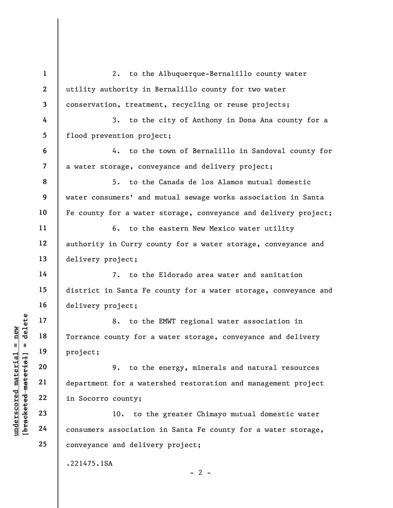understand material material material material and the project;<br>
which is a project;<br>
which is a set of the department for a water<br>
which is a set of the department for a water<br>
22 in Socorro county;<br>
23 10. to the consume 1 2 3 4 5 6 7 8 9 10 11 12 13 14 15 16 17 18 19 20 21 22 23 24 25 2. to the Albuquerque-Bernalillo county water utility authority in Bernalillo county for two water conservation, treatment, recycling or reuse projects; 3. to the city of Anthony in Dona Ana county for a flood prevention project; 4. to the town of Bernalillo in Sandoval county for a water storage, conveyance and delivery project; 5. to the Canada de los Alamos mutual domestic water consumers' and mutual sewage works association in Santa Fe county for a water storage, conveyance and delivery project; 6. to the eastern New Mexico water utility authority in Curry county for a water storage, conveyance and delivery project; 7. to the Eldorado area water and sanitation district in Santa Fe county for a water storage, conveyance and delivery project; 8. to the EMWT regional water association in Torrance county for a water storage, conveyance and delivery project; 9. to the energy, minerals and natural resources department for a watershed restoration and management project in Socorro county; 10. to the greater Chimayo mutual domestic water consumers association in Santa Fe county for a water storage, conveyance and delivery project; .221475.1SA

 $- 2 -$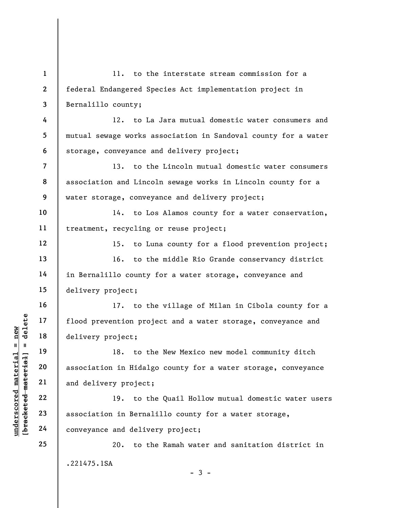understand material material species of the set of the set of the set of the set of the set of the set of the set of the set of the set of the set of the set of the set of the set of the set of the set of the set of the se 1 2 3 4 5 6 7 8 9 10 11 12 13 14 15 16 17 18 19 20 21 22 23 24 25 11. to the interstate stream commission for a federal Endangered Species Act implementation project in Bernalillo county; 12. to La Jara mutual domestic water consumers and mutual sewage works association in Sandoval county for a water storage, conveyance and delivery project; 13. to the Lincoln mutual domestic water consumers association and Lincoln sewage works in Lincoln county for a water storage, conveyance and delivery project; 14. to Los Alamos county for a water conservation, treatment, recycling or reuse project; 15. to Luna county for a flood prevention project; 16. to the middle Rio Grande conservancy district in Bernalillo county for a water storage, conveyance and delivery project; 17. to the village of Milan in Cibola county for a flood prevention project and a water storage, conveyance and delivery project; 18. to the New Mexico new model community ditch association in Hidalgo county for a water storage, conveyance and delivery project; 19. to the Quail Hollow mutual domestic water users association in Bernalillo county for a water storage, conveyance and delivery project; 20. to the Ramah water and sanitation district in .221475.1SA  $-3 -$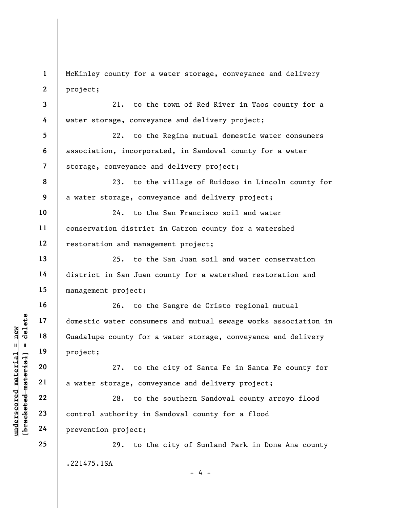1 2 McKinley county for a water storage, conveyance and delivery project;

3 4 21. to the town of Red River in Taos county for a water storage, conveyance and delivery project;

5 6 7 22. to the Regina mutual domestic water consumers association, incorporated, in Sandoval county for a water storage, conveyance and delivery project;

8 9 23. to the village of Ruidoso in Lincoln county for a water storage, conveyance and delivery project;

10 11 12 24. to the San Francisco soil and water conservation district in Catron county for a watershed restoration and management project;

25. to the San Juan soil and water conservation district in San Juan county for a watershed restoration and management project;

underscored material = new [bracketed material] = delete 26. to the Sangre de Cristo regional mutual domestic water consumers and mutual sewage works association in Guadalupe county for a water storage, conveyance and delivery project;

27. to the city of Santa Fe in Santa Fe county for a water storage, conveyance and delivery project;

28. to the southern Sandoval county arroyo flood control authority in Sandoval county for a flood prevention project;

29. to the city of Sunland Park in Dona Ana county .221475.1SA

- 4 -

13

14

15

16

17

18

19

20

21

22

23

24

25